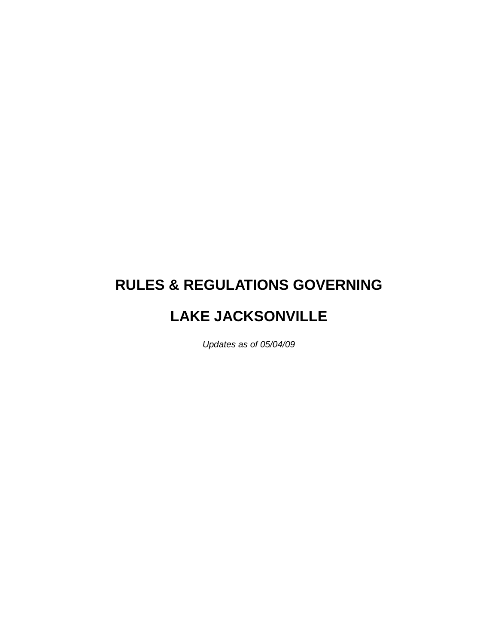# **RULES & REGULATIONS GOVERNING**

# **LAKE JACKSONVILLE**

*Updates as of 05/04/09*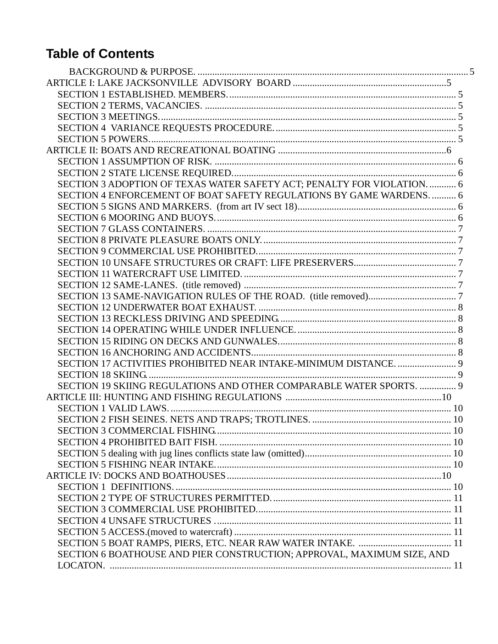# **Table of Contents**

| SECTION 3 ADOPTION OF TEXAS WATER SAFETY ACT; PENALTY FOR VIOLATION.  6 |  |
|-------------------------------------------------------------------------|--|
| SECTION 4 ENFORCEMENT OF BOAT SAFETY REGULATIONS BY GAME WARDENS 6      |  |
|                                                                         |  |
|                                                                         |  |
|                                                                         |  |
|                                                                         |  |
|                                                                         |  |
|                                                                         |  |
|                                                                         |  |
|                                                                         |  |
|                                                                         |  |
|                                                                         |  |
|                                                                         |  |
|                                                                         |  |
|                                                                         |  |
|                                                                         |  |
| SECTION 17 ACTIVITIES PROHIBITED NEAR INTAKE-MINIMUM DISTANCE 9         |  |
|                                                                         |  |
| SECTION 19 SKIING REGULATIONS AND OTHER COMPARABLE WATER SPORTS.  9     |  |
|                                                                         |  |
|                                                                         |  |
|                                                                         |  |
|                                                                         |  |
|                                                                         |  |
|                                                                         |  |
|                                                                         |  |
|                                                                         |  |
|                                                                         |  |
|                                                                         |  |
|                                                                         |  |
|                                                                         |  |
|                                                                         |  |
|                                                                         |  |
| SECTION 6 BOATHOUSE AND PIER CONSTRUCTION; APPROVAL, MAXIMUM SIZE, AND  |  |
|                                                                         |  |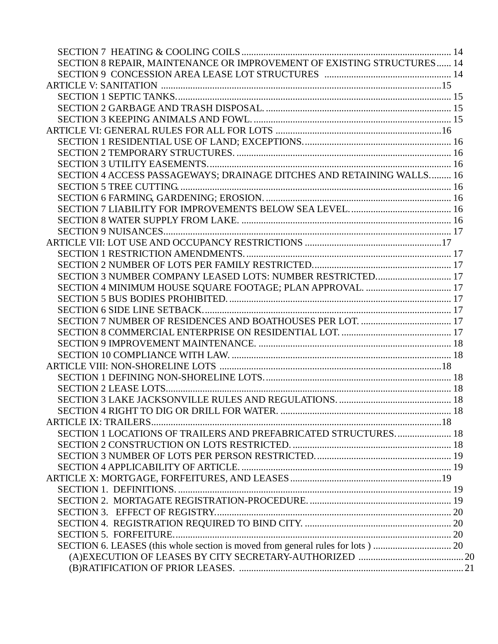| SECTION 8 REPAIR, MAINTENANCE OR IMPROVEMENT OF EXISTING STRUCTURES 14 |  |
|------------------------------------------------------------------------|--|
|                                                                        |  |
|                                                                        |  |
|                                                                        |  |
|                                                                        |  |
|                                                                        |  |
|                                                                        |  |
|                                                                        |  |
|                                                                        |  |
|                                                                        |  |
| SECTION 4 ACCESS PASSAGEWAYS; DRAINAGE DITCHES AND RETAINING WALLS 16  |  |
|                                                                        |  |
|                                                                        |  |
|                                                                        |  |
|                                                                        |  |
|                                                                        |  |
|                                                                        |  |
|                                                                        |  |
|                                                                        |  |
| SECTION 3 NUMBER COMPANY LEASED LOTS: NUMBER RESTRICTED 17             |  |
| SECTION 4 MINIMUM HOUSE SQUARE FOOTAGE; PLAN APPROVAL.  17             |  |
|                                                                        |  |
|                                                                        |  |
|                                                                        |  |
|                                                                        |  |
|                                                                        |  |
|                                                                        |  |
|                                                                        |  |
|                                                                        |  |
|                                                                        |  |
|                                                                        |  |
|                                                                        |  |
| SECTION 1 LOCATIONS OF TRAILERS AND PREFABRICATED STRUCTURES 18        |  |
|                                                                        |  |
|                                                                        |  |
|                                                                        |  |
|                                                                        |  |
|                                                                        |  |
|                                                                        |  |
|                                                                        |  |
|                                                                        |  |
|                                                                        |  |
|                                                                        |  |
|                                                                        |  |
|                                                                        |  |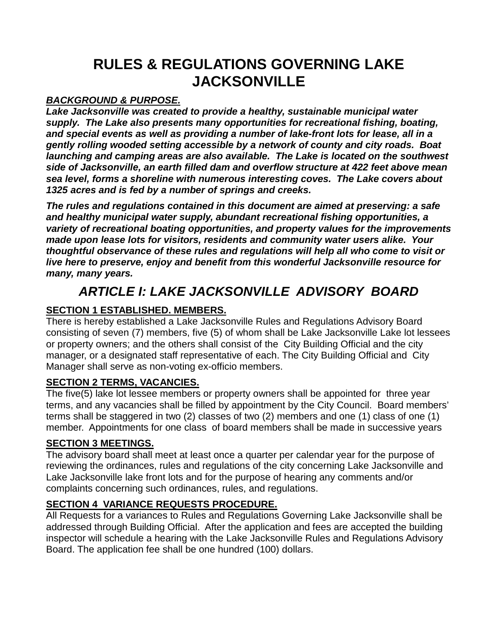# **RULES & REGULATIONS GOVERNING LAKE JACKSONVILLE**

### *BACKGROUND & PURPOSE.*

*Lake Jacksonville was created to provide a healthy, sustainable municipal water supply. The Lake also presents many opportunities for recreational fishing, boating, and special events as well as providing a number of lake-front lots for lease, all in a gently rolling wooded setting accessible by a network of county and city roads. Boat launching and camping areas are also available. The Lake is located on the southwest side of Jacksonville, an earth filled dam and overflow structure at 422 feet above mean sea level, forms a shoreline with numerous interesting coves. The Lake covers about 1325 acres and is fed by a number of springs and creeks.*

*The rules and regulations contained in this document are aimed at preserving: a safe and healthy municipal water supply, abundant recreational fishing opportunities, a variety of recreational boating opportunities, and property values for the improvements made upon lease lots for visitors, residents and community water users alike. Your thoughtful observance of these rules and regulations will help all who come to visit or live here to preserve, enjoy and benefit from this wonderful Jacksonville resource for many, many years.*

# *ARTICLE I: LAKE JACKSONVILLE ADVISORY BOARD*

# **SECTION 1 ESTABLISHED. MEMBERS.**

There is hereby established a Lake Jacksonville Rules and Regulations Advisory Board consisting of seven (7) members, five (5) of whom shall be Lake Jacksonville Lake lot lessees or property owners; and the others shall consist of the City Building Official and the city manager, or a designated staff representative of each. The City Building Official and City Manager shall serve as non-voting ex-officio members.

# **SECTION 2 TERMS, VACANCIES.**

The five(5) lake lot lessee members or property owners shall be appointed for three year terms, and any vacancies shall be filled by appointment by the City Council. Board members' terms shall be staggered in two (2) classes of two (2) members and one (1) class of one (1) member. Appointments for one class of board members shall be made in successive years

#### **SECTION 3 MEETINGS.**

The advisory board shall meet at least once a quarter per calendar year for the purpose of reviewing the ordinances, rules and regulations of the city concerning Lake Jacksonville and Lake Jacksonville lake front lots and for the purpose of hearing any comments and/or complaints concerning such ordinances, rules, and regulations.

# **SECTION 4 VARIANCE REQUESTS PROCEDURE.**

All Requests for a variances to Rules and Regulations Governing Lake Jacksonville shall be addressed through Building Official. After the application and fees are accepted the building inspector will schedule a hearing with the Lake Jacksonville Rules and Regulations Advisory Board. The application fee shall be one hundred (100) dollars.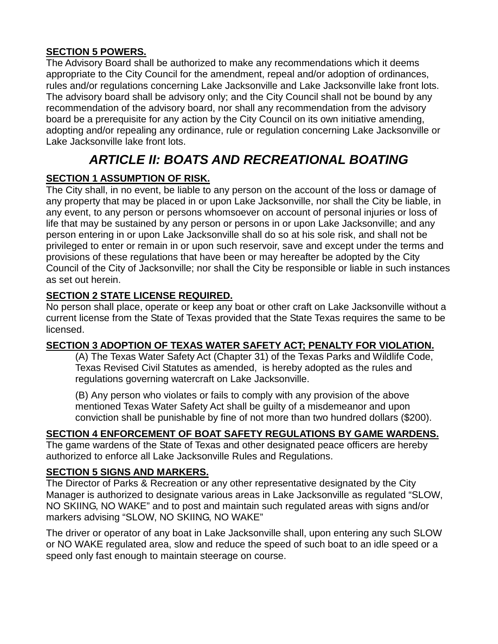#### **SECTION 5 POWERS.**

The Advisory Board shall be authorized to make any recommendations which it deems appropriate to the City Council for the amendment, repeal and/or adoption of ordinances, rules and/or regulations concerning Lake Jacksonville and Lake Jacksonville lake front lots. The advisory board shall be advisory only; and the City Council shall not be bound by any recommendation of the advisory board, nor shall any recommendation from the advisory board be a prerequisite for any action by the City Council on its own initiative amending, adopting and/or repealing any ordinance, rule or regulation concerning Lake Jacksonville or Lake Jacksonville lake front lots.

# *ARTICLE II: BOATS AND RECREATIONAL BOATING*

# **SECTION 1 ASSUMPTION OF RISK.**

The City shall, in no event, be liable to any person on the account of the loss or damage of any property that may be placed in or upon Lake Jacksonville, nor shall the City be liable, in any event, to any person or persons whomsoever on account of personal injuries or loss of life that may be sustained by any person or persons in or upon Lake Jacksonville; and any person entering in or upon Lake Jacksonville shall do so at his sole risk, and shall not be privileged to enter or remain in or upon such reservoir, save and except under the terms and provisions of these regulations that have been or may hereafter be adopted by the City Council of the City of Jacksonville; nor shall the City be responsible or liable in such instances as set out herein.

# **SECTION 2 STATE LICENSE REQUIRED.**

No person shall place, operate or keep any boat or other craft on Lake Jacksonville without a current license from the State of Texas provided that the State Texas requires the same to be licensed.

# **SECTION 3 ADOPTION OF TEXAS WATER SAFETY ACT; PENALTY FOR VIOLATION.**

(A) The Texas Water Safety Act (Chapter 31) of the Texas Parks and Wildlife Code, Texas Revised Civil Statutes as amended, is hereby adopted as the rules and regulations governing watercraft on Lake Jacksonville.

(B) Any person who violates or fails to comply with any provision of the above mentioned Texas Water Safety Act shall be guilty of a misdemeanor and upon conviction shall be punishable by fine of not more than two hundred dollars (\$200).

#### **SECTION 4 ENFORCEMENT OF BOAT SAFETY REGULATIONS BY GAME WARDENS.**

The game wardens of the State of Texas and other designated peace officers are hereby authorized to enforce all Lake Jacksonville Rules and Regulations.

#### **SECTION 5 SIGNS AND MARKERS.**

The Director of Parks & Recreation or any other representative designated by the City Manager is authorized to designate various areas in Lake Jacksonville as regulated "SLOW, NO SKIING, NO WAKE" and to post and maintain such regulated areas with signs and/or markers advising "SLOW, NO SKIING, NO WAKE"

The driver or operator of any boat in Lake Jacksonville shall, upon entering any such SLOW or NO WAKE regulated area, slow and reduce the speed of such boat to an idle speed or a speed only fast enough to maintain steerage on course.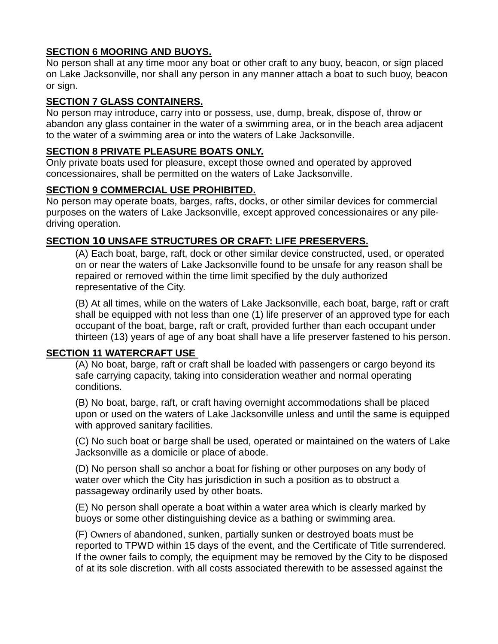#### **SECTION 6 MOORING AND BUOYS.**

No person shall at any time moor any boat or other craft to any buoy, beacon, or sign placed on Lake Jacksonville, nor shall any person in any manner attach a boat to such buoy, beacon or sign.

### **SECTION 7 GLASS CONTAINERS.**

No person may introduce, carry into or possess, use, dump, break, dispose of, throw or abandon any glass container in the water of a swimming area, or in the beach area adjacent to the water of a swimming area or into the waters of Lake Jacksonville.

### **SECTION 8 PRIVATE PLEASURE BOATS ONLY.**

Only private boats used for pleasure, except those owned and operated by approved concessionaires, shall be permitted on the waters of Lake Jacksonville.

### **SECTION 9 COMMERCIAL USE PROHIBITED.**

No person may operate boats, barges, rafts, docks, or other similar devices for commercial purposes on the waters of Lake Jacksonville, except approved concessionaires or any piledriving operation.

### **SECTION** 10 **UNSAFE STRUCTURES OR CRAFT: LIFE PRESERVERS.**

(A) Each boat, barge, raft, dock or other similar device constructed, used, or operated on or near the waters of Lake Jacksonville found to be unsafe for any reason shall be repaired or removed within the time limit specified by the duly authorized representative of the City.

(B) At all times, while on the waters of Lake Jacksonville, each boat, barge, raft or craft shall be equipped with not less than one (1) life preserver of an approved type for each occupant of the boat, barge, raft or craft, provided further than each occupant under thirteen (13) years of age of any boat shall have a life preserver fastened to his person.

#### **SECTION 11 WATERCRAFT USE**

(A) No boat, barge, raft or craft shall be loaded with passengers or cargo beyond its safe carrying capacity, taking into consideration weather and normal operating conditions.

(B) No boat, barge, raft, or craft having overnight accommodations shall be placed upon or used on the waters of Lake Jacksonville unless and until the same is equipped with approved sanitary facilities.

(C) No such boat or barge shall be used, operated or maintained on the waters of Lake Jacksonville as a domicile or place of abode.

(D) No person shall so anchor a boat for fishing or other purposes on any body of water over which the City has jurisdiction in such a position as to obstruct a passageway ordinarily used by other boats.

(E) No person shall operate a boat within a water area which is clearly marked by buoys or some other distinguishing device as a bathing or swimming area.

(F) Owners of abandoned, sunken, partially sunken or destroyed boats must be reported to TPWD within 15 days of the event, and the Certificate of Title surrendered. If the owner fails to comply, the equipment may be removed by the City to be disposed of at its sole discretion. with all costs associated therewith to be assessed against the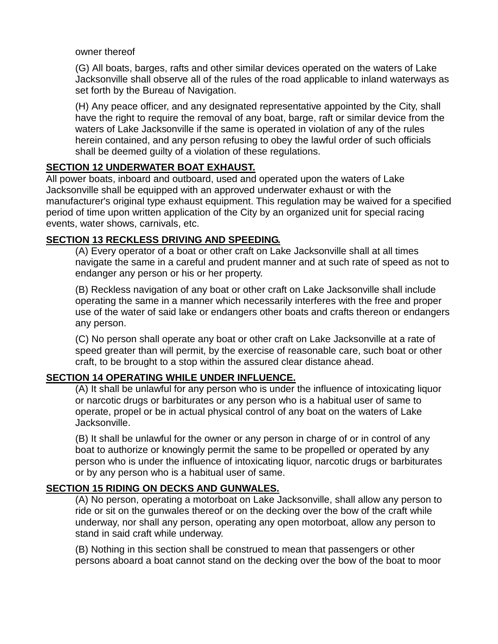owner thereof

(G) All boats, barges, rafts and other similar devices operated on the waters of Lake Jacksonville shall observe all of the rules of the road applicable to inland waterways as set forth by the Bureau of Navigation.

(H) Any peace officer, and any designated representative appointed by the City, shall have the right to require the removal of any boat, barge, raft or similar device from the waters of Lake Jacksonville if the same is operated in violation of any of the rules herein contained, and any person refusing to obey the lawful order of such officials shall be deemed guilty of a violation of these regulations.

# **SECTION 12 UNDERWATER BOAT EXHAUST.**

All power boats, inboard and outboard, used and operated upon the waters of Lake Jacksonville shall be equipped with an approved underwater exhaust or with the manufacturer's original type exhaust equipment. This regulation may be waived for a specified period of time upon written application of the City by an organized unit for special racing events, water shows, carnivals, etc.

#### **SECTION 13 RECKLESS DRIVING AND SPEEDING.**

(A) Every operator of a boat or other craft on Lake Jacksonville shall at all times navigate the same in a careful and prudent manner and at such rate of speed as not to endanger any person or his or her property.

(B) Reckless navigation of any boat or other craft on Lake Jacksonville shall include operating the same in a manner which necessarily interferes with the free and proper use of the water of said lake or endangers other boats and crafts thereon or endangers any person.

(C) No person shall operate any boat or other craft on Lake Jacksonville at a rate of speed greater than will permit, by the exercise of reasonable care, such boat or other craft, to be brought to a stop within the assured clear distance ahead.

#### **SECTION 14 OPERATING WHILE UNDER INFLUENCE.**

(A) It shall be unlawful for any person who is under the influence of intoxicating liquor or narcotic drugs or barbiturates or any person who is a habitual user of same to operate, propel or be in actual physical control of any boat on the waters of Lake Jacksonville.

(B) It shall be unlawful for the owner or any person in charge of or in control of any boat to authorize or knowingly permit the same to be propelled or operated by any person who is under the influence of intoxicating liquor, narcotic drugs or barbiturates or by any person who is a habitual user of same.

#### **SECTION 15 RIDING ON DECKS AND GUNWALES.**

(A) No person, operating a motorboat on Lake Jacksonville, shall allow any person to ride or sit on the gunwales thereof or on the decking over the bow of the craft while underway, nor shall any person, operating any open motorboat, allow any person to stand in said craft while underway.

(B) Nothing in this section shall be construed to mean that passengers or other persons aboard a boat cannot stand on the decking over the bow of the boat to moor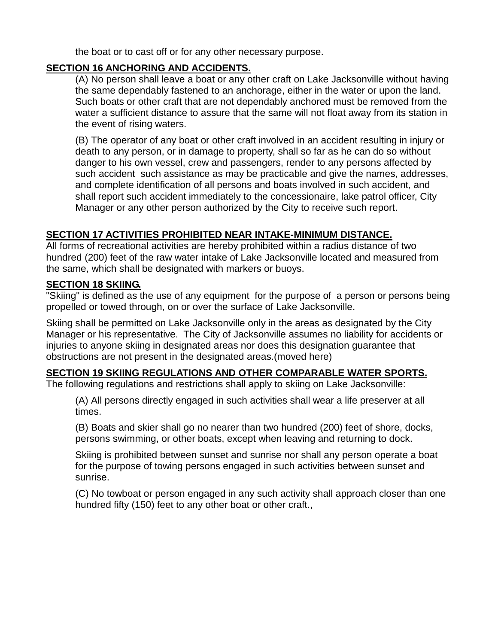the boat or to cast off or for any other necessary purpose.

#### **SECTION 16 ANCHORING AND ACCIDENTS.**

(A) No person shall leave a boat or any other craft on Lake Jacksonville without having the same dependably fastened to an anchorage, either in the water or upon the land. Such boats or other craft that are not dependably anchored must be removed from the water a sufficient distance to assure that the same will not float away from its station in the event of rising waters.

(B) The operator of any boat or other craft involved in an accident resulting in injury or death to any person, or in damage to property, shall so far as he can do so without danger to his own vessel, crew and passengers, render to any persons affected by such accident such assistance as may be practicable and give the names, addresses, and complete identification of all persons and boats involved in such accident, and shall report such accident immediately to the concessionaire, lake patrol officer, City Manager or any other person authorized by the City to receive such report.

#### **SECTION 17 ACTIVITIES PROHIBITED NEAR INTAKE-MINIMUM DISTANCE.**

All forms of recreational activities are hereby prohibited within a radius distance of two hundred (200) feet of the raw water intake of Lake Jacksonville located and measured from the same, which shall be designated with markers or buoys.

#### **SECTION 18 SKIING.**

"Skiing" is defined as the use of any equipment for the purpose of a person or persons being propelled or towed through, on or over the surface of Lake Jacksonville.

Skiing shall be permitted on Lake Jacksonville only in the areas as designated by the City Manager or his representative. The City of Jacksonville assumes no liability for accidents or injuries to anyone skiing in designated areas nor does this designation guarantee that obstructions are not present in the designated areas.(moved here)

#### **SECTION 19 SKIING REGULATIONS AND OTHER COMPARABLE WATER SPORTS.**

The following regulations and restrictions shall apply to skiing on Lake Jacksonville:

(A) All persons directly engaged in such activities shall wear a life preserver at all times.

(B) Boats and skier shall go no nearer than two hundred (200) feet of shore, docks, persons swimming, or other boats, except when leaving and returning to dock.

Skiing is prohibited between sunset and sunrise nor shall any person operate a boat for the purpose of towing persons engaged in such activities between sunset and sunrise.

(C) No towboat or person engaged in any such activity shall approach closer than one hundred fifty (150) feet to any other boat or other craft.,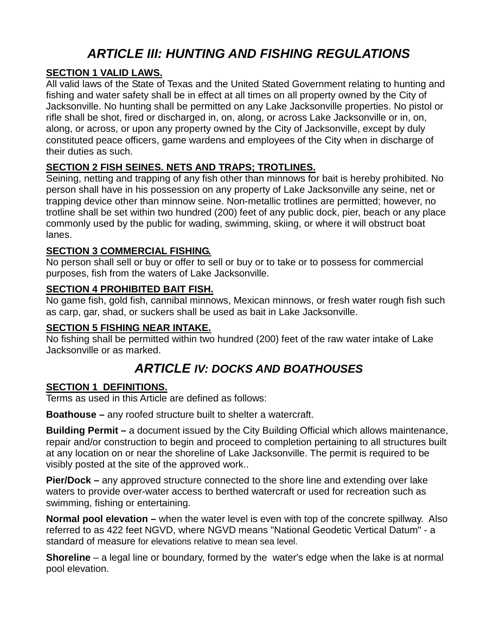# *ARTICLE III: HUNTING AND FISHING REGULATIONS*

### **SECTION 1 VALID LAWS.**

All valid laws of the State of Texas and the United Stated Government relating to hunting and fishing and water safety shall be in effect at all times on all property owned by the City of Jacksonville. No hunting shall be permitted on any Lake Jacksonville properties. No pistol or rifle shall be shot, fired or discharged in, on, along, or across Lake Jacksonville or in, on, along, or across, or upon any property owned by the City of Jacksonville, except by duly constituted peace officers, game wardens and employees of the City when in discharge of their duties as such.

### **SECTION 2 FISH SEINES. NETS AND TRAPS; TROTLINES.**

Seining, netting and trapping of any fish other than minnows for bait is hereby prohibited. No person shall have in his possession on any property of Lake Jacksonville any seine, net or trapping device other than minnow seine. Non-metallic trotlines are permitted; however, no trotline shall be set within two hundred (200) feet of any public dock, pier, beach or any place commonly used by the public for wading, swimming, skiing, or where it will obstruct boat lanes.

#### **SECTION 3 COMMERCIAL FISHING.**

No person shall sell or buy or offer to sell or buy or to take or to possess for commercial purposes, fish from the waters of Lake Jacksonville.

#### **SECTION 4 PROHIBITED BAIT FISH.**

No game fish, gold fish, cannibal minnows, Mexican minnows, or fresh water rough fish such as carp, gar, shad, or suckers shall be used as bait in Lake Jacksonville.

#### **SECTION 5 FISHING NEAR INTAKE.**

No fishing shall be permitted within two hundred (200) feet of the raw water intake of Lake Jacksonville or as marked.

# *ARTICLE IV: DOCKS AND BOATHOUSES*

#### **SECTION 1 DEFINITIONS.**

Terms as used in this Article are defined as follows:

**Boathouse –** any roofed structure built to shelter a watercraft.

**Building Permit –** a document issued by the City Building Official which allows maintenance, repair and/or construction to begin and proceed to completion pertaining to all structures built at any location on or near the shoreline of Lake Jacksonville. The permit is required to be visibly posted at the site of the approved work..

**Pier/Dock –** any approved structure connected to the shore line and extending over lake waters to provide over-water access to berthed watercraft or used for recreation such as swimming, fishing or entertaining.

**Normal pool elevation –** when the water level is even with top of the concrete spillway. Also referred to as 422 feet NGVD, where NGVD means "National Geodetic Vertical Datum" - a standard of measure for elevations relative to mean sea level.

**Shoreline** – a legal line or boundary, formed by the water's edge when the lake is at normal pool elevation.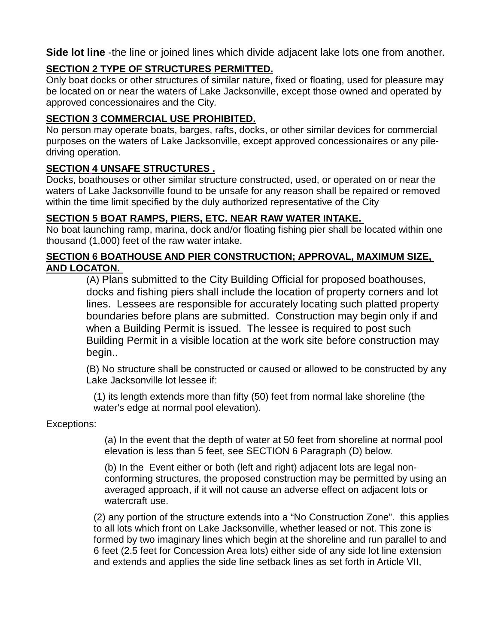**Side lot line** -the line or joined lines which divide adjacent lake lots one from another.

# **SECTION 2 TYPE OF STRUCTURES PERMITTED.**

Only boat docks or other structures of similar nature, fixed or floating, used for pleasure may be located on or near the waters of Lake Jacksonville, except those owned and operated by approved concessionaires and the City*.* 

# **SECTION 3 COMMERCIAL USE PROHIBITED.**

No person may operate boats, barges, rafts, docks, or other similar devices for commercial purposes on the waters of Lake Jacksonville, except approved concessionaires or any piledriving operation.

### **SECTION 4 UNSAFE STRUCTURES .**

Docks, boathouses or other similar structure constructed, used, or operated on or near the waters of Lake Jacksonville found to be unsafe for any reason shall be repaired or removed within the time limit specified by the duly authorized representative of the City

# **SECTION 5 BOAT RAMPS, PIERS, ETC. NEAR RAW WATER INTAKE.**

No boat launching ramp, marina, dock and/or floating fishing pier shall be located within one thousand (1,000) feet of the raw water intake.

#### **SECTION 6 BOATHOUSE AND PIER CONSTRUCTION; APPROVAL, MAXIMUM SIZE, AND LOCATON.**

(A) Plans submitted to the City Building Official for proposed boathouses, docks and fishing piers shall include the location of property corners and lot lines. Lessees are responsible for accurately locating such platted property boundaries before plans are submitted. Construction may begin only if and when a Building Permit is issued. The lessee is required to post such Building Permit in a visible location at the work site before construction may begin..

(B) No structure shall be constructed or caused or allowed to be constructed by any Lake Jacksonville lot lessee if:

(1) its length extends more than fifty (50) feet from normal lake shoreline (the water's edge at normal pool elevation).

#### Exceptions:

(a) In the event that the depth of water at 50 feet from shoreline at normal pool elevation is less than 5 feet, see SECTION 6 Paragraph (D) below.

(b) In the Event either or both (left and right) adjacent lots are legal nonconforming structures, the proposed construction may be permitted by using an averaged approach, if it will not cause an adverse effect on adjacent lots or watercraft use.

(2) any portion of the structure extends into a "No Construction Zone". this applies to all lots which front on Lake Jacksonville, whether leased or not. This zone is formed by two imaginary lines which begin at the shoreline and run parallel to and 6 feet (2.5 feet for Concession Area lots) either side of any side lot line extension and extends and applies the side line setback lines as set forth in Article VII,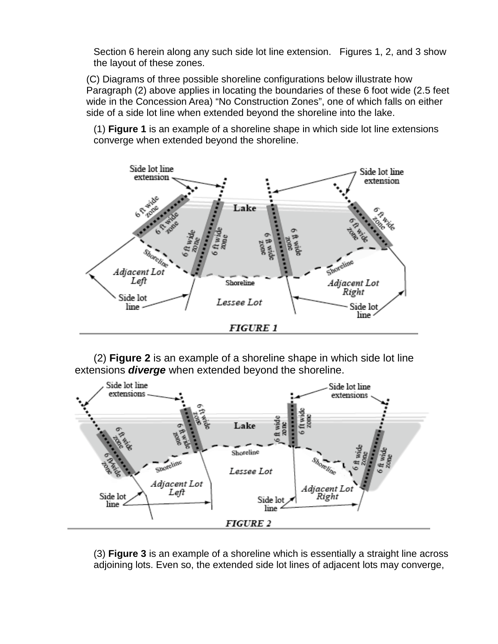Section 6 herein along any such side lot line extension. Figures 1, 2, and 3 show the layout of these zones.

(C) Diagrams of three possible shoreline configurations below illustrate how Paragraph (2) above applies in locating the boundaries of these 6 foot wide (2.5 feet wide in the Concession Area) "No Construction Zones", one of which falls on either side of a side lot line when extended beyond the shoreline into the lake.

(1) **Figure 1** is an example of a shoreline shape in which side lot line extensions converge when extended beyond the shoreline.



(2) **Figure 2** is an example of a shoreline shape in which side lot line extensions *diverge* when extended beyond the shoreline.



(3) **Figure 3** is an example of a shoreline which is essentially a straight line across adjoining lots. Even so, the extended side lot lines of adjacent lots may converge,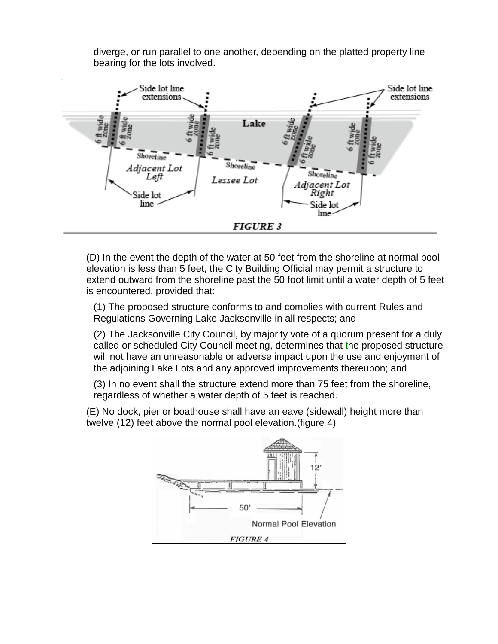diverge, or run parallel to one another, depending on the platted property line bearing for the lots involved.



(D) In the event the depth of the water at 50 feet from the shoreline at normal pool elevation is less than 5 feet, the City Building Official may permit a structure to extend outward from the shoreline past the 50 foot limit until a water depth of 5 feet is encountered, provided that:

(1) The proposed structure conforms to and complies with current Rules and Regulations Governing Lake Jacksonville in all respects; and

(2) The Jacksonville City Council, by majority vote of a quorum present for a duly called or scheduled City Council meeting, determines that the proposed structure will not have an unreasonable or adverse impact upon the use and enjoyment of the adjoining Lake Lots and any approved improvements thereupon; and

(3) In no event shall the structure extend more than 75 feet from the shoreline, regardless of whether a water depth of 5 feet is reached.

(E) No dock, pier or boathouse shall have an eave (sidewall) height more than twelve (12) feet above the normal pool elevation.(figure 4)

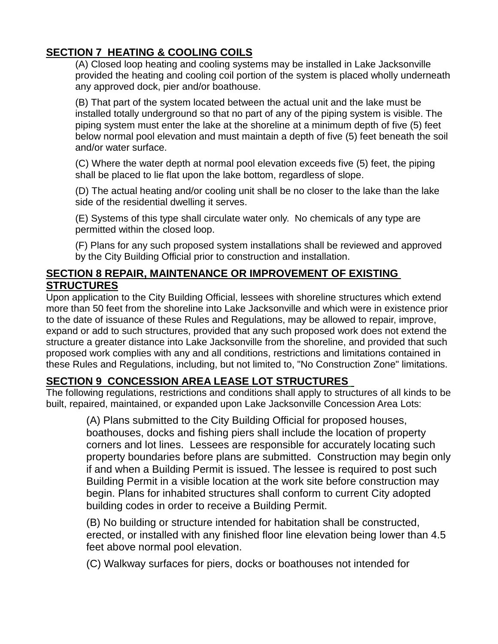# **SECTION 7 HEATING & COOLING COILS**

(A) Closed loop heating and cooling systems may be installed in Lake Jacksonville provided the heating and cooling coil portion of the system is placed wholly underneath any approved dock, pier and/or boathouse.

(B) That part of the system located between the actual unit and the lake must be installed totally underground so that no part of any of the piping system is visible. The piping system must enter the lake at the shoreline at a minimum depth of five (5) feet below normal pool elevation and must maintain a depth of five (5) feet beneath the soil and/or water surface.

(C) Where the water depth at normal pool elevation exceeds five (5) feet, the piping shall be placed to lie flat upon the lake bottom, regardless of slope.

(D) The actual heating and/or cooling unit shall be no closer to the lake than the lake side of the residential dwelling it serves.

(E) Systems of this type shall circulate water only. No chemicals of any type are permitted within the closed loop.

(F) Plans for any such proposed system installations shall be reviewed and approved by the City Building Official prior to construction and installation.

# **SECTION 8 REPAIR, MAINTENANCE OR IMPROVEMENT OF EXISTING STRUCTURES**

Upon application to the City Building Official, lessees with shoreline structures which extend more than 50 feet from the shoreline into Lake Jacksonville and which were in existence prior to the date of issuance of these Rules and Regulations, may be allowed to repair, improve, expand or add to such structures, provided that any such proposed work does not extend the structure a greater distance into Lake Jacksonville from the shoreline, and provided that such proposed work complies with any and all conditions, restrictions and limitations contained in these Rules and Regulations, including, but not limited to, "No Construction Zone" limitations.

# **SECTION 9 CONCESSION AREA LEASE LOT STRUCTURES**

The following regulations, restrictions and conditions shall apply to structures of all kinds to be built, repaired, maintained, or expanded upon Lake Jacksonville Concession Area Lots:

(A) Plans submitted to the City Building Official for proposed houses, boathouses, docks and fishing piers shall include the location of property corners and lot lines. Lessees are responsible for accurately locating such property boundaries before plans are submitted. Construction may begin only if and when a Building Permit is issued. The lessee is required to post such Building Permit in a visible location at the work site before construction may begin. Plans for inhabited structures shall conform to current City adopted building codes in order to receive a Building Permit.

(B) No building or structure intended for habitation shall be constructed, erected, or installed with any finished floor line elevation being lower than 4.5 feet above normal pool elevation.

(C) Walkway surfaces for piers, docks or boathouses not intended for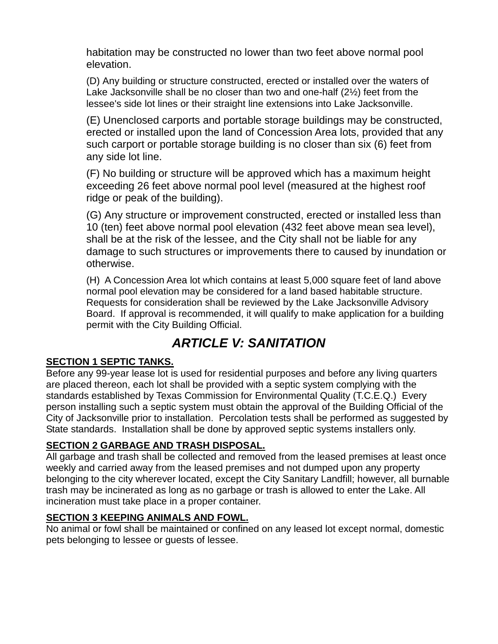habitation may be constructed no lower than two feet above normal pool elevation.

(D) Any building or structure constructed, erected or installed over the waters of Lake Jacksonville shall be no closer than two and one-half (2½) feet from the lessee's side lot lines or their straight line extensions into Lake Jacksonville.

(E) Unenclosed carports and portable storage buildings may be constructed, erected or installed upon the land of Concession Area lots, provided that any such carport or portable storage building is no closer than six (6) feet from any side lot line.

(F) No building or structure will be approved which has a maximum height exceeding 26 feet above normal pool level (measured at the highest roof ridge or peak of the building).

(G) Any structure or improvement constructed, erected or installed less than 10 (ten) feet above normal pool elevation (432 feet above mean sea level), shall be at the risk of the lessee, and the City shall not be liable for any damage to such structures or improvements there to caused by inundation or otherwise.

(H) A Concession Area lot which contains at least 5,000 square feet of land above normal pool elevation may be considered for a land based habitable structure. Requests for consideration shall be reviewed by the Lake Jacksonville Advisory Board. If approval is recommended, it will qualify to make application for a building permit with the City Building Official.

# *ARTICLE V: SANITATION*

# **SECTION 1 SEPTIC TANKS.**

Before any 99-year lease lot is used for residential purposes and before any living quarters are placed thereon, each lot shall be provided with a septic system complying with the standards established by Texas Commission for Environmental Quality (T.C.E.Q.) Every person installing such a septic system must obtain the approval of the Building Official of the City of Jacksonville prior to installation. Percolation tests shall be performed as suggested by State standards. Installation shall be done by approved septic systems installers only.

# **SECTION 2 GARBAGE AND TRASH DISPOSAL.**

All garbage and trash shall be collected and removed from the leased premises at least once weekly and carried away from the leased premises and not dumped upon any property belonging to the city wherever located, except the City Sanitary Landfill; however, all burnable trash may be incinerated as long as no garbage or trash is allowed to enter the Lake. All incineration must take place in a proper container.

#### **SECTION 3 KEEPING ANIMALS AND FOWL.**

No animal or fowl shall be maintained or confined on any leased lot except normal, domestic pets belonging to lessee or guests of lessee.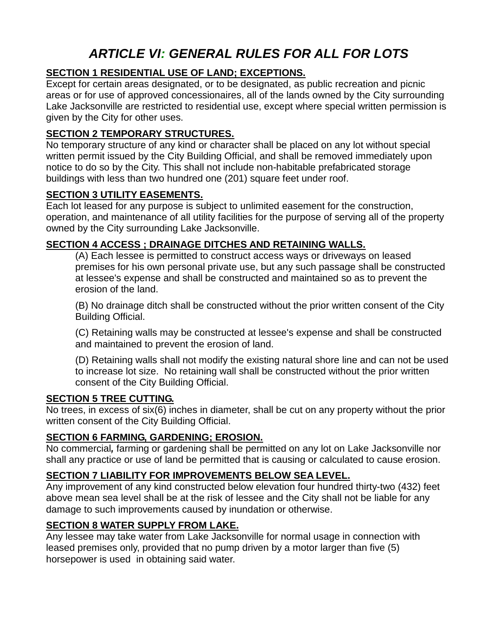# *ARTICLE VI: GENERAL RULES FOR ALL FOR LOTS*

### **SECTION 1 RESIDENTIAL USE OF LAND; EXCEPTIONS.**

Except for certain areas designated, or to be designated, as public recreation and picnic areas or for use of approved concessionaires, all of the lands owned by the City surrounding Lake Jacksonville are restricted to residential use, except where special written permission is given by the City for other uses.

### **SECTION 2 TEMPORARY STRUCTURES.**

No temporary structure of any kind or character shall be placed on any lot without special written permit issued by the City Building Official, and shall be removed immediately upon notice to do so by the City. This shall not include non-habitable prefabricated storage buildings with less than two hundred one (201) square feet under roof.

#### **SECTION 3 UTILITY EASEMENTS.**

Each lot leased for any purpose is subject to unlimited easement for the construction, operation, and maintenance of all utility facilities for the purpose of serving all of the property owned by the City surrounding Lake Jacksonville.

# **SECTION 4 ACCESS ; DRAINAGE DITCHES AND RETAINING WALLS.**

(A) Each lessee is permitted to construct access ways or driveways on leased premises for his own personal private use, but any such passage shall be constructed at lessee's expense and shall be constructed and maintained so as to prevent the erosion of the land.

(B) No drainage ditch shall be constructed without the prior written consent of the City Building Official.

(C) Retaining walls may be constructed at lessee's expense and shall be constructed and maintained to prevent the erosion of land.

(D) Retaining walls shall not modify the existing natural shore line and can not be used to increase lot size. No retaining wall shall be constructed without the prior written consent of the City Building Official.

#### **SECTION 5 TREE CUTTING.**

No trees, in excess of six(6) inches in diameter, shall be cut on any property without the prior written consent of the City Building Official.

#### **SECTION 6 FARMING, GARDENING; EROSION.**

No commercial*,* farming or gardening shall be permitted on any lot on Lake Jacksonville nor shall any practice or use of land be permitted that is causing or calculated to cause erosion.

# **SECTION 7 LIABILITY FOR IMPROVEMENTS BELOW SEA LEVEL.**

Any improvement of any kind constructed below elevation four hundred thirty-two (432) feet above mean sea level shall be at the risk of lessee and the City shall not be liable for any damage to such improvements caused by inundation or otherwise.

# **SECTION 8 WATER SUPPLY FROM LAKE.**

Any lessee may take water from Lake Jacksonville for normal usage in connection with leased premises only, provided that no pump driven by a motor larger than five (5) horsepower is used in obtaining said water.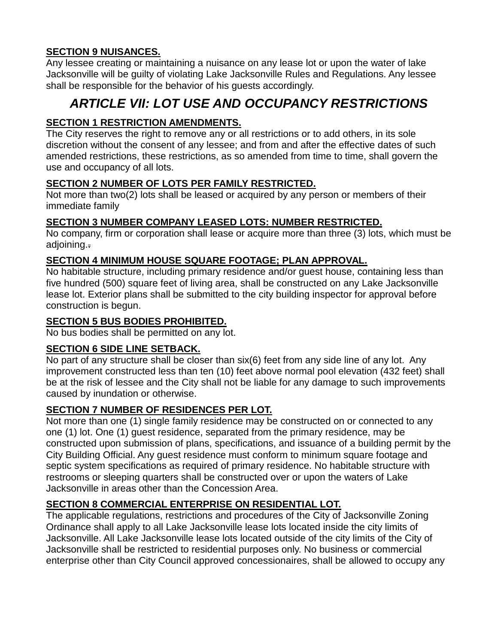### **SECTION 9 NUISANCES.**

Any lessee creating or maintaining a nuisance on any lease lot or upon the water of lake Jacksonville will be guilty of violating Lake Jacksonville Rules and Regulations. Any lessee shall be responsible for the behavior of his guests accordingly.

# *ARTICLE VII: LOT USE AND OCCUPANCY RESTRICTIONS*

# **SECTION 1 RESTRICTION AMENDMENTS.**

The City reserves the right to remove any or all restrictions or to add others, in its sole discretion without the consent of any lessee; and from and after the effective dates of such amended restrictions, these restrictions, as so amended from time to time, shall govern the use and occupancy of all lots.

# **SECTION 2 NUMBER OF LOTS PER FAMILY RESTRICTED.**

Not more than two(2) lots shall be leased or acquired by any person or members of their immediate family

#### **SECTION 3 NUMBER COMPANY LEASED LOTS: NUMBER RESTRICTED.**

No company, firm or corporation shall lease or acquire more than three (3) lots, which must be adjoining..

#### **SECTION 4 MINIMUM HOUSE SQUARE FOOTAGE; PLAN APPROVAL.**

No habitable structure, including primary residence and/or guest house, containing less than five hundred (500) square feet of living area, shall be constructed on any Lake Jacksonville lease lot. Exterior plans shall be submitted to the city building inspector for approval before construction is begun.

### **SECTION 5 BUS BODIES PROHIBITED.**

No bus bodies shall be permitted on any lot.

#### **SECTION 6 SIDE LINE SETBACK.**

No part of any structure shall be closer than six(6) feet from any side line of any lot. Any improvement constructed less than ten (10) feet above normal pool elevation (432 feet) shall be at the risk of lessee and the City shall not be liable for any damage to such improvements caused by inundation or otherwise.

#### **SECTION 7 NUMBER OF RESIDENCES PER LOT.**

Not more than one (1) single family residence may be constructed on or connected to any one (1) lot. One (1) guest residence, separated from the primary residence, may be constructed upon submission of plans, specifications, and issuance of a building permit by the City Building Official. Any guest residence must conform to minimum square footage and septic system specifications as required of primary residence. No habitable structure with restrooms or sleeping quarters shall be constructed over or upon the waters of Lake Jacksonville in areas other than the Concession Area.

#### **SECTION 8 COMMERCIAL ENTERPRISE ON RESIDENTIAL LOT.**

The applicable regulations, restrictions and procedures of the City of Jacksonville Zoning Ordinance shall apply to all Lake Jacksonville lease lots located inside the city limits of Jacksonville. All Lake Jacksonville lease lots located outside of the city limits of the City of Jacksonville shall be restricted to residential purposes only. No business or commercial enterprise other than City Council approved concessionaires, shall be allowed to occupy any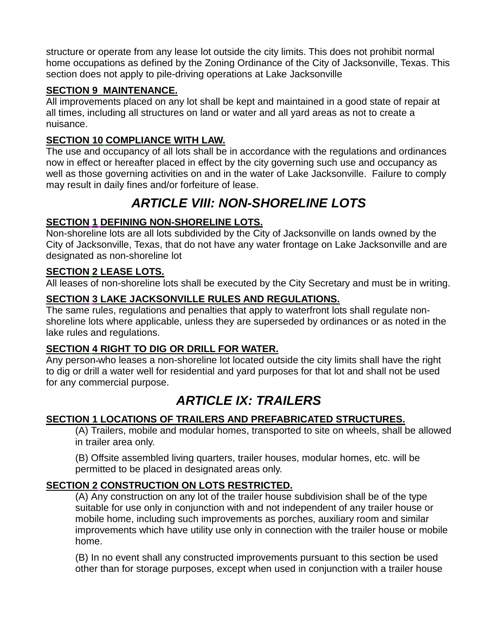structure or operate from any lease lot outside the city limits. This does not prohibit normal home occupations as defined by the Zoning Ordinance of the City of Jacksonville, Texas. This section does not apply to pile-driving operations at Lake Jacksonville

### **SECTION 9 MAINTENANCE.**

All improvements placed on any lot shall be kept and maintained in a good state of repair at all times, including all structures on land or water and all yard areas as not to create a nuisance.

### **SECTION 10 COMPLIANCE WITH LAW.**

The use and occupancy of all lots shall be in accordance with the regulations and ordinances now in effect or hereafter placed in effect by the city governing such use and occupancy as well as those governing activities on and in the water of Lake Jacksonville. Failure to comply may result in daily fines and/or forfeiture of lease.

# *ARTICLE VIII: NON-SHORELINE LOTS*

### **SECTION 1 DEFINING NON-SHORELINE LOTS.**

Non-shoreline lots are all lots subdivided by the City of Jacksonville on lands owned by the City of Jacksonville, Texas, that do not have any water frontage on Lake Jacksonville and are designated as non-shoreline lot

### **SECTION 2 LEASE LOTS.**

All leases of non-shoreline lots shall be executed by the City Secretary and must be in writing.

### **SECTION 3 LAKE JACKSONVILLE RULES AND REGULATIONS.**

The same rules, regulations and penalties that apply to waterfront lots shall regulate nonshoreline lots where applicable, unless they are superseded by ordinances or as noted in the lake rules and regulations.

#### **SECTION 4 RIGHT TO DIG OR DRILL FOR WATER.**

Any person-who leases a non-shoreline lot located outside the city limits shall have the right to dig or drill a water well for residential and yard purposes for that lot and shall not be used for any commercial purpose.

# *ARTICLE IX: TRAILERS*

#### **SECTION 1 LOCATIONS OF TRAILERS AND PREFABRICATED STRUCTURES.**

(A) Trailers, mobile and modular homes, transported to site on wheels, shall be allowed in trailer area only.

(B) Offsite assembled living quarters, trailer houses, modular homes, etc. will be permitted to be placed in designated areas only.

# **SECTION 2 CONSTRUCTION ON LOTS RESTRICTED.**

(A) Any construction on any lot of the trailer house subdivision shall be of the type suitable for use only in conjunction with and not independent of any trailer house or mobile home, including such improvements as porches, auxiliary room and similar improvements which have utility use only in connection with the trailer house or mobile home.

(B) In no event shall any constructed improvements pursuant to this section be used other than for storage purposes, except when used in conjunction with a trailer house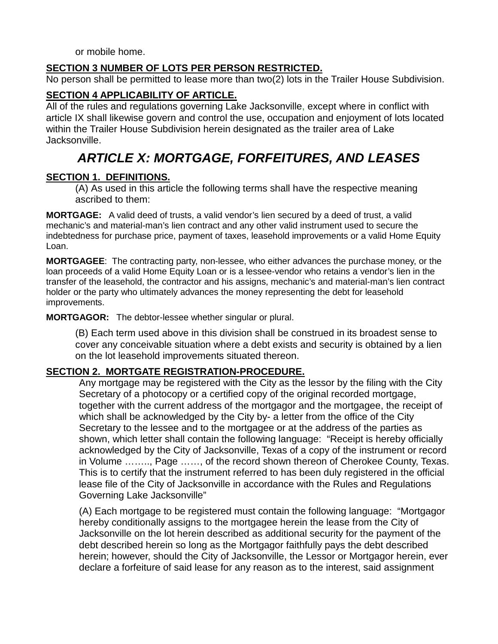or mobile home.

#### **SECTION 3 NUMBER OF LOTS PER PERSON RESTRICTED.**

No person shall be permitted to lease more than two(2) lots in the Trailer House Subdivision.

#### **SECTION 4 APPLICABILITY OF ARTICLE.**

All of the rules and regulations governing Lake Jacksonville, except where in conflict with article IX shall likewise govern and control the use, occupation and enjoyment of lots located within the Trailer House Subdivision herein designated as the trailer area of Lake Jacksonville.

# *ARTICLE X: MORTGAGE, FORFEITURES, AND LEASES*

#### **SECTION 1. DEFINITIONS.**

(A) As used in this article the following terms shall have the respective meaning ascribed to them:

**MORTGAGE:** A valid deed of trusts, a valid vendor's lien secured by a deed of trust, a valid mechanic's and material-man's lien contract and any other valid instrument used to secure the indebtedness for purchase price, payment of taxes, leasehold improvements or a valid Home Equity Loan.

**MORTGAGEE**: The contracting party, non-lessee, who either advances the purchase money, or the loan proceeds of a valid Home Equity Loan or is a lessee-vendor who retains a vendor's lien in the transfer of the leasehold, the contractor and his assigns, mechanic's and material-man's lien contract holder or the party who ultimately advances the money representing the debt for leasehold improvements.

**MORTGAGOR:** The debtor-lessee whether singular or plural.

(B) Each term used above in this division shall be construed in its broadest sense to cover any conceivable situation where a debt exists and security is obtained by a lien on the lot leasehold improvements situated thereon.

#### **SECTION 2. MORTGATE REGISTRATION-PROCEDURE.**

Any mortgage may be registered with the City as the lessor by the filing with the City Secretary of a photocopy or a certified copy of the original recorded mortgage, together with the current address of the mortgagor and the mortgagee, the receipt of which shall be acknowledged by the City by- a letter from the office of the City Secretary to the lessee and to the mortgagee or at the address of the parties as shown, which letter shall contain the following language: "Receipt is hereby officially acknowledged by the City of Jacksonville, Texas of a copy of the instrument or record in Volume …….., Page ……, of the record shown thereon of Cherokee County, Texas. This is to certify that the instrument referred to has been duly registered in the official lease file of the City of Jacksonville in accordance with the Rules and Regulations Governing Lake Jacksonville"

(A) Each mortgage to be registered must contain the following language: "Mortgagor hereby conditionally assigns to the mortgagee herein the lease from the City of Jacksonville on the lot herein described as additional security for the payment of the debt described herein so long as the Mortgagor faithfully pays the debt described herein; however, should the City of Jacksonville, the Lessor or Mortgagor herein, ever declare a forfeiture of said lease for any reason as to the interest, said assignment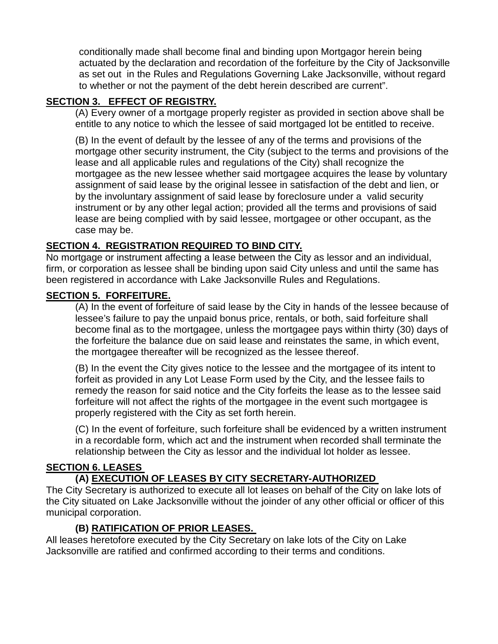conditionally made shall become final and binding upon Mortgagor herein being actuated by the declaration and recordation of the forfeiture by the City of Jacksonville as set out in the Rules and Regulations Governing Lake Jacksonville, without regard to whether or not the payment of the debt herein described are current".

#### **SECTION 3. EFFECT OF REGISTRY.**

(A) Every owner of a mortgage properly register as provided in section above shall be entitle to any notice to which the lessee of said mortgaged lot be entitled to receive.

(B) In the event of default by the lessee of any of the terms and provisions of the mortgage other security instrument, the City (subject to the terms and provisions of the lease and all applicable rules and regulations of the City) shall recognize the mortgagee as the new lessee whether said mortgagee acquires the lease by voluntary assignment of said lease by the original lessee in satisfaction of the debt and lien, or by the involuntary assignment of said lease by foreclosure under a valid security instrument or by any other legal action; provided all the terms and provisions of said lease are being complied with by said lessee, mortgagee or other occupant, as the case may be.

#### **SECTION 4. REGISTRATION REQUIRED TO BIND CITY.**

No mortgage or instrument affecting a lease between the City as lessor and an individual, firm, or corporation as lessee shall be binding upon said City unless and until the same has been registered in accordance with Lake Jacksonville Rules and Regulations.

#### **SECTION 5. FORFEITURE.**

(A) In the event of forfeiture of said lease by the City in hands of the lessee because of lessee's failure to pay the unpaid bonus price, rentals, or both, said forfeiture shall become final as to the mortgagee, unless the mortgagee pays within thirty (30) days of the forfeiture the balance due on said lease and reinstates the same, in which event, the mortgagee thereafter will be recognized as the lessee thereof.

(B) In the event the City gives notice to the lessee and the mortgagee of its intent to forfeit as provided in any Lot Lease Form used by the City, and the lessee fails to remedy the reason for said notice and the City forfeits the lease as to the lessee said forfeiture will not affect the rights of the mortgagee in the event such mortgagee is properly registered with the City as set forth herein.

(C) In the event of forfeiture, such forfeiture shall be evidenced by a written instrument in a recordable form, which act and the instrument when recorded shall terminate the relationship between the City as lessor and the individual lot holder as lessee.

#### **SECTION 6. LEASES**

#### **(A) EXECUTION OF LEASES BY CITY SECRETARY-AUTHORIZED**

The City Secretary is authorized to execute all lot leases on behalf of the City on lake lots of the City situated on Lake Jacksonville without the joinder of any other official or officer of this municipal corporation.

#### **(B) RATIFICATION OF PRIOR LEASES.**

All leases heretofore executed by the City Secretary on lake lots of the City on Lake Jacksonville are ratified and confirmed according to their terms and conditions.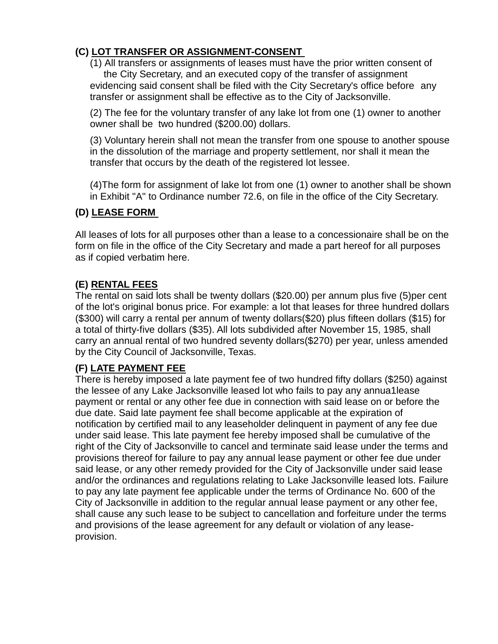### **(C) LOT TRANSFER OR ASSIGNMENT-CONSENT**

(1) All transfers or assignments of leases must have the prior written consent of the City Secretary, and an executed copy of the transfer of assignment evidencing said consent shall be filed with the City Secretary's office before any transfer or assignment shall be effective as to the City of Jacksonville.

(2) The fee for the voluntary transfer of any lake lot from one (1) owner to another owner shall be two hundred (\$200.00) dollars.

(3) Voluntary herein shall not mean the transfer from one spouse to another spouse in the dissolution of the marriage and property settlement, nor shall it mean the transfer that occurs by the death of the registered lot lessee.

(4)The form for assignment of lake lot from one (1) owner to another shall be shown in Exhibit "A" to Ordinance number 72.6, on file in the office of the City Secretary.

#### **(D) LEASE FORM**

All leases of lots for all purposes other than a lease to a concessionaire shall be on the form on file in the office of the City Secretary and made a part hereof for all purposes as if copied verbatim here.

# **(E) RENTAL FEES**

The rental on said lots shall be twenty dollars (\$20.00) per annum plus five (5)per cent of the lot's original bonus price. For example: a lot that leases for three hundred dollars (\$300) will carry a rental per annum of twenty dollars(\$20) plus fifteen dollars (\$15) for a total of thirty-five dollars (\$35). All lots subdivided after November 15, 1985, shall carry an annual rental of two hundred seventy dollars(\$270) per year, unless amended by the City Council of Jacksonville, Texas.

# **(F) LATE PAYMENT FEE**

There is hereby imposed a late payment fee of two hundred fifty dollars (\$250) against the lessee of any Lake Jacksonville leased lot who fails to pay any annua1lease payment or rental or any other fee due in connection with said lease on or before the due date. Said late payment fee shall become applicable at the expiration of notification by certified mail to any leaseholder delinquent in payment of any fee due under said lease. This late payment fee hereby imposed shall be cumulative of the right of the City of Jacksonville to cancel and terminate said lease under the terms and provisions thereof for failure to pay any annual lease payment or other fee due under said lease, or any other remedy provided for the City of Jacksonville under said lease and/or the ordinances and regulations relating to Lake Jacksonville leased lots. Failure to pay any late payment fee applicable under the terms of Ordinance No. 600 of the City of Jacksonville in addition to the regular annual lease payment or any other fee, shall cause any such lease to be subject to cancellation and forfeiture under the terms and provisions of the lease agreement for any default or violation of any leaseprovision.